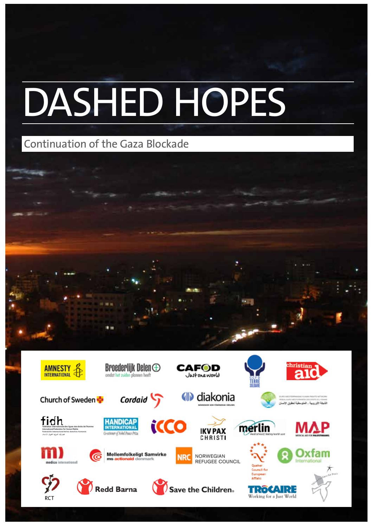# DASHED HOPES

## Continuation of the Gaza Blockade

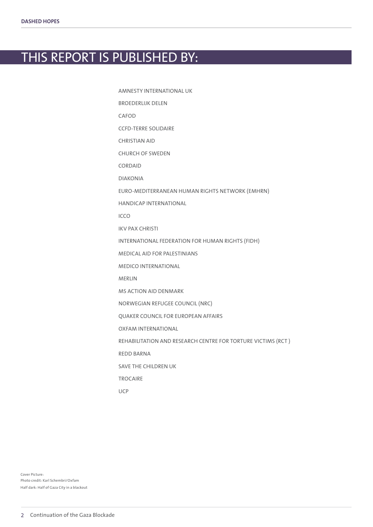## This report is published by:

AMNESTY INTERNATIONAL UK

BROEDERLIJK DELEN

CAFOD

CCFD-TERRE SOLIDAIRE

CHRISTIAN AID

CHURCH OF SWEDEN

CORDAID

DIAKONIA

EURO-MEDITERRANEAN HUMAN RIGHTS NETWORK (EMHRN)

HANDICAP INTERNATIONAL

ICCO

IKV PAX CHRISTI

INTERNATIONAL FEDERATION FOR HUMAN RIGHTS (FIDH)

MEDICAL AID FOR PALESTINIANS

MEDICO INTERNATIONAL

MERLIN

MS ACTION AID DENMARK

NORWEGIAN REFUGEE COUNCIL (NRC)

QUAKER COUNCIL FOR EUROPEAN AFFAIRS

OXFAM INTERNATIONAL

Rehabilitation and Research Centre for Torture Victims (RCT )

REDD BARNA

SAVE THE CHILDREN UK

**TROCAIRE** 

UCP

Cover Picture: Photo credit: Karl Schembri/Oxfam Half dark: Half of Gaza City in a blackout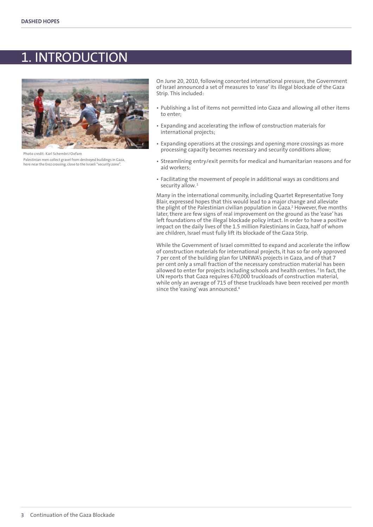### 1. Introduction



Photo credit: Karl Schembri/Oxfam Palestinian men collect gravel from destroyed buildings in Gaza, here near the Erez crossing, close to the Israeli "security zone".

On June 20, 2010, following concerted international pressure, the Government of Israel announced a set of measures to 'ease' its illegal blockade of the Gaza Strip. This included:

- Publishing a list of items not permitted into Gaza and allowing all other items to enter;
- Expanding and accelerating the inflow of construction materials for international projects;
- Expanding operations at the crossings and opening more crossings as more processing capacity becomes necessary and security conditions allow;
- Streamlining entry/exit permits for medical and humanitarian reasons and for aid workers;
- Facilitating the movement of people in additional ways as conditions and security allow.<sup>1</sup>

Many in the international community, including Quartet Representative Tony Blair, expressed hopes that this would lead to a major change and alleviate the plight of the Palestinian civilian population in Gaza.<sup>2</sup> However, five months later, there are few signs of real improvement on the ground as the 'ease' has left foundations of the illegal blockade policy intact. In order to have a positive impact on the daily lives of the 1.5 million Palestinians in Gaza, half of whom are children, Israel must fully lift its blockade of the Gaza Strip.

While the Government of Israel committed to expand and accelerate the inflow of construction materials for international projects, it has so far only approved 7 per cent of the building plan for UNRWA's projects in Gaza, and of that 7 per cent only a small fraction of the necessary construction material has been allowed to enter for projects including schools and health centres.<sup>3</sup> In fact, the UN reports that Gaza requires 670,000 truckloads of construction material, while only an average of 715 of these truckloads have been received per month since the 'easing' was announced.4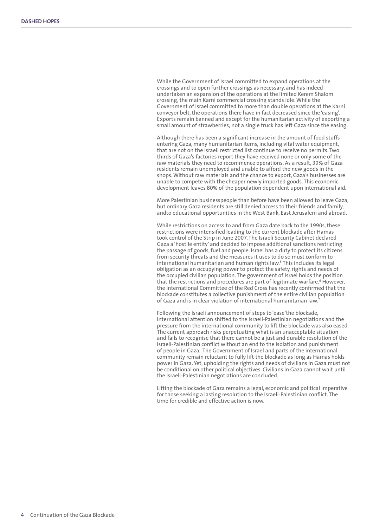While the Government of Israel committed to expand operations at the crossings and to open further crossings as necessary, and has indeed undertaken an expansion of the operations at the limited Kerem Shalom crossing, the main Karni commercial crossing stands idle. While the Government of Israel committed to more than double operations at the Karni conveyor belt, the operations there have in fact decreased since the 'easing'. Exports remain banned and except for the humanitarian activity of exporting a small amount of strawberries, not a single truck has left Gaza since the easing.

Although there has been a significant increase in the amount of food stuffs entering Gaza, many humanitarian items, including vital water equipment, that are not on the Israeli restricted list continue to receive no permits. Two thirds of Gaza's factories report they have received none or only some of the raw materials they need to recommence operations. As a result, 39% of Gaza residents remain unemployed and unable to afford the new goods in the shops. Without raw materials and the chance to export, Gaza's businesses are unable to compete with the cheaper newly imported goods. This economic development leaves 80% of the population dependent upon international aid.

More Palestinian businesspeople than before have been allowed to leave Gaza, but ordinary Gaza residents are still denied access to their friends and family, andto educational opportunities in the West Bank, East Jerusalem and abroad.

While restrictions on access to and from Gaza date back to the 1990s, these restrictions were intensified leading to the current blockade after Hamas took control of the Strip in June 2007. The Israeli Security Cabinet declared Gaza a 'hostile entity' and decided to impose additional sanctions restricting the passage of goods, fuel and people. Israel has a duty to protect its citizens from security threats and the measures it uses to do so must conform to international humanitarian and human rights law.5 This includes its legal obligation as an occupying power to protect the safety, rights and needs of the occupied civilian population. The government of Israel holds the position that the restrictions and procedures are part of legitimate warfare.6 However, the International Committee of the Red Cross has recently confirmed that the blockade constitutes a collective punishment of the entire civilian population of Gaza and is in clear violation of international humanitarian law.<sup>7</sup>

Following the Israeli announcement of steps to 'ease'the blockade, international attention shifted to the Israeli-Palestinian negotiations and the pressure from the international community to lift the blockade was also eased. The current approach risks perpetuating what is an unacceptable situation and fails to recognise that there cannot be a just and durable resolution of the Israeli-Palestinian conflict without an end to the isolation and punishment of people in Gaza. The Government of Israel and parts of the international community remain reluctant to fully lift the blockade as long as Hamas holds power in Gaza. Yet, upholding the rights and needs of civilians in Gaza must not be conditional on other political objectives. Civilians in Gaza cannot wait until the Israeli-Palestinian negotiations are concluded.

Lifting the blockade of Gaza remains a legal, economic and political imperative for those seeking a lasting resolution to the Israeli-Palestinian conflict. The time for credible and effective action is now.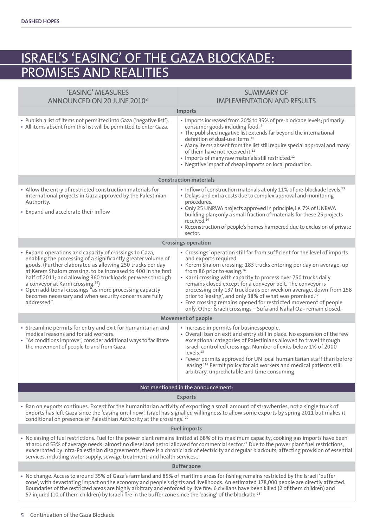# Israel's 'easing' of the Gaza blockade: promises and realities

|                                                                                                                                                                                                                                                                                                                                                        | 'EASING' MEASURES<br>ANNOUNCED ON 20 JUNE 2010 <sup>8</sup>                                                                                                                                                                                                                                                                                                                                                                                                                                                                                        | <b>SUMMARY OF</b><br><b>IMPLEMENTATION AND RESULTS</b>                                                                                                                                                                                                                                                                                                                                                                                                                                                                                                                                                                                     |  |
|--------------------------------------------------------------------------------------------------------------------------------------------------------------------------------------------------------------------------------------------------------------------------------------------------------------------------------------------------------|----------------------------------------------------------------------------------------------------------------------------------------------------------------------------------------------------------------------------------------------------------------------------------------------------------------------------------------------------------------------------------------------------------------------------------------------------------------------------------------------------------------------------------------------------|--------------------------------------------------------------------------------------------------------------------------------------------------------------------------------------------------------------------------------------------------------------------------------------------------------------------------------------------------------------------------------------------------------------------------------------------------------------------------------------------------------------------------------------------------------------------------------------------------------------------------------------------|--|
| Imports                                                                                                                                                                                                                                                                                                                                                |                                                                                                                                                                                                                                                                                                                                                                                                                                                                                                                                                    |                                                                                                                                                                                                                                                                                                                                                                                                                                                                                                                                                                                                                                            |  |
|                                                                                                                                                                                                                                                                                                                                                        | • Publish a list of items not permitted into Gaza ('negative list').<br>• All items absent from this list will be permitted to enter Gaza.                                                                                                                                                                                                                                                                                                                                                                                                         | • Imports increased from 20% to 35% of pre-blockade levels; primarily<br>consumer goods including food. <sup>9</sup><br>• The published negative list extends far beyond the international<br>definition of dual-use items. <sup>10</sup><br>• Many items absent from the list still require special approval and many<br>of them have not received it. <sup>11</sup><br>• Imports of many raw materials still restricted. <sup>12</sup><br>• Negative impact of cheap imports on local production.                                                                                                                                        |  |
| <b>Construction materials</b>                                                                                                                                                                                                                                                                                                                          |                                                                                                                                                                                                                                                                                                                                                                                                                                                                                                                                                    |                                                                                                                                                                                                                                                                                                                                                                                                                                                                                                                                                                                                                                            |  |
|                                                                                                                                                                                                                                                                                                                                                        | • Allow the entry of restricted construction materials for<br>international projects in Gaza approved by the Palestinian<br>Authority.<br>• Expand and accelerate their inflow                                                                                                                                                                                                                                                                                                                                                                     | • Inflow of construction materials at only 11% of pre-blockade levels. <sup>13</sup><br>• Delays and extra costs due to complex approval and monitoring<br>procedures.<br>• Only 25 UNRWA projects approved in principle, i.e. 7% of UNRWA<br>building plan; only a small fraction of materials for these 25 projects<br>received. $14$<br>• Reconstruction of people's homes hampered due to exclusion of private<br>sector.                                                                                                                                                                                                              |  |
| <b>Crossings operation</b>                                                                                                                                                                                                                                                                                                                             |                                                                                                                                                                                                                                                                                                                                                                                                                                                                                                                                                    |                                                                                                                                                                                                                                                                                                                                                                                                                                                                                                                                                                                                                                            |  |
|                                                                                                                                                                                                                                                                                                                                                        | • Expand operations and capacity of crossings to Gaza,<br>enabling the processing of a significantly greater volume of<br>goods. (Further elaborated as allowing 250 trucks per day<br>at Kerem Shalom crossing, to be increased to 400 in the first<br>half of 2011; and allowing 360 truckloads per week through<br>a conveyor at Karni crossing. <sup>15</sup> )<br>• Open additional crossings "as more processing capacity<br>becomes necessary and when security concerns are fully<br>addressed".                                           | • Crossings' operation still far from sufficient for the level of imports<br>and exports required.<br>• Kerem Shalom crossing: 183 trucks entering per day on average, up<br>from 86 prior to easing. <sup>16</sup><br>• Karni crossing with capacity to process over 750 trucks daily<br>remains closed except for a conveyor belt. The conveyor is<br>processing only 137 truckloads per week on average, down from 158<br>prior to 'easing', and only 38% of what was promised. <sup>17</sup><br>• Erez crossing remains opened for restricted movement of people<br>only. Other Israeli crossings - Sufa and Nahal Oz - remain closed. |  |
| <b>Movement of people</b>                                                                                                                                                                                                                                                                                                                              |                                                                                                                                                                                                                                                                                                                                                                                                                                                                                                                                                    |                                                                                                                                                                                                                                                                                                                                                                                                                                                                                                                                                                                                                                            |  |
|                                                                                                                                                                                                                                                                                                                                                        | • Streamline permits for entry and exit for humanitarian and<br>medical reasons and for aid workers.<br>• "As conditions improve", consider additional ways to facilitate<br>the movement of people to and from Gaza.                                                                                                                                                                                                                                                                                                                              | • Increase in permits for businesspeople.<br>• Overall ban on exit and entry still in place. No expansion of the few<br>exceptional categories of Palestinians allowed to travel through<br>Israeli controlled crossings. Number of exits below 1% of 2000<br>levels <sup>18</sup><br>• Fewer permits approved for UN local humanitarian staff than before<br>'easing'. <sup>19</sup> Permit policy for aid workers and medical patients still<br>arbitrary, unpredictable and time consuming.                                                                                                                                             |  |
|                                                                                                                                                                                                                                                                                                                                                        | Not mentioned in the announcement:                                                                                                                                                                                                                                                                                                                                                                                                                                                                                                                 |                                                                                                                                                                                                                                                                                                                                                                                                                                                                                                                                                                                                                                            |  |
| <b>Exports</b>                                                                                                                                                                                                                                                                                                                                         |                                                                                                                                                                                                                                                                                                                                                                                                                                                                                                                                                    |                                                                                                                                                                                                                                                                                                                                                                                                                                                                                                                                                                                                                                            |  |
| • Ban on exports continues. Except for the humanitarian activity of exporting a small amount of strawberries, not a single truck of<br>exports has left Gaza since the 'easing until now'. Israel has signalled willingness to allow some exports by spring 2011 but makes it<br>conditional on presence of Palestinian Authority at the crossings. 20 |                                                                                                                                                                                                                                                                                                                                                                                                                                                                                                                                                    |                                                                                                                                                                                                                                                                                                                                                                                                                                                                                                                                                                                                                                            |  |
|                                                                                                                                                                                                                                                                                                                                                        | <b>Fuel imports</b>                                                                                                                                                                                                                                                                                                                                                                                                                                                                                                                                |                                                                                                                                                                                                                                                                                                                                                                                                                                                                                                                                                                                                                                            |  |
|                                                                                                                                                                                                                                                                                                                                                        | • No easing of fuel restrictions. Fuel for the power plant remains limited at 68% of its maximum capacity; cooking gas imports have been<br>at around 53% of average needs; almost no diesel and petrol allowed for commercial sector. <sup>21</sup> Due to the power plant fuel restrictions,<br>exacerbated by intra-Palestinian disagreements, there is a chronic lack of electricity and regular blackouts, affecting provision of essential<br>services, including water supply, sewage treatment, and health services                        |                                                                                                                                                                                                                                                                                                                                                                                                                                                                                                                                                                                                                                            |  |
|                                                                                                                                                                                                                                                                                                                                                        | <b>Buffer zone</b>                                                                                                                                                                                                                                                                                                                                                                                                                                                                                                                                 |                                                                                                                                                                                                                                                                                                                                                                                                                                                                                                                                                                                                                                            |  |
|                                                                                                                                                                                                                                                                                                                                                        | • No change. Access to around 35% of Gaza's farmland and 85% of maritime areas for fishing remains restricted by the Israeli 'buffer<br>zone', with devastating impact on the economy and people's rights and livelihoods. An estimated 178,000 people are directly affected.<br>Boundaries of the restricted areas are highly arbitrary and enforced by live fire: 6 civilians have been killed (2 of them children) and<br>57 injured (10 of them children) by Israeli fire in the buffer zone since the 'easing' of the blockade. <sup>23</sup> |                                                                                                                                                                                                                                                                                                                                                                                                                                                                                                                                                                                                                                            |  |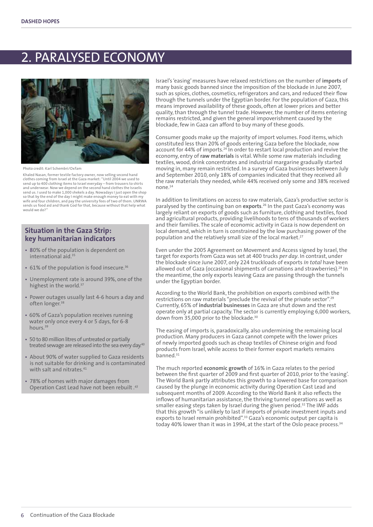## 2. Paralysed economy



Photo credit: Karl Schembri/Oxfam

Khaled Nasan, former textile factory owner, now selling second hand clothes coming from Israel at the Gaza market: "Until 2004 we used to send up to 400 clothing items to Israel everyday – from trousers to shirts and underwear. Now we depend on the second hand clothes the Israelis send us. I used to make 1,000 shekels a day. Nowadays I just open the shop so that by the end of the day I might make enough money to eat with my wife and four children, and pay the university fees of two of them. UNRWA sends us food aid and thank God for that, because without that help what would we do?

#### **Situation in the Gaza Strip: key humanitarian indicators**

- 80% of the population is dependent on international aid.35
- 61% of the population is food insecure.<sup>36</sup>
- Unemployment rate is around 39%, one of the highest in the world.<sup>37</sup>
- Power outages usually last 4-6 hours a day and often longer.<sup>38</sup>
- 60% of Gaza's population receives running water only once every 4 or 5 days, for 6-8 hours.39
- 50 to 80 million litres of untreated or partially treated sewage are released into the sea every day.<sup>40</sup>
- About 90% of water supplied to Gaza residents is not suitable for drinking and is contaminated with salt and nitrates.<sup>41</sup>
- 78% of homes with major damages from Operation Cast Lead have not been rebuilt *. 43*

Israel's 'easing' measures have relaxed restrictions on the number of **imports** of many basic goods banned since the imposition of the blockade in June 2007, such as spices, clothes, cosmetics, refrigerators and cars, and reduced their flow through the tunnels under the Egyptian border. For the population of Gaza, this means improved availability of these goods, often at lower prices and better quality, than through the tunnel trade. However, the number of items entering remains restricted, and given the general impoverishment caused by the blockade, few in Gaza can afford to buy many of these goods.

Consumer goods make up the majority of import volumes. Food items, which constituted less than 20% of goods entering Gaza before the blockade, now account for 44% of imports.24 In order to restart local production and revive the economy, entry of **raw materials** is vital. While some raw materials including textiles, wood, drink concentrates and industrial margarine gradually started moving in, many remain restricted. In a survey of Gaza businesses between July and September 2010, only 18% of companies indicated that they received all the raw materials they needed, while 44% received only some and 38% received none.14

In addition to limitations on access to raw materials, Gaza's productive sector is paralysed by the continuing ban on **exports**. 26 In the past Gaza's economy was largely reliant on exports of goods such as furniture, clothing and textiles, food and agricultural products, providing livelihoods to tens of thousands of workers and their families. The scale of economic activity in Gaza is now dependent on local demand, which in turn is constrained by the low purchasing power of the population and the relatively small size of the local market.<sup>27</sup>

Even under the 2005 Agreement on Movement and Access signed by Israel, the target for exports from Gaza was set at 400 trucks *per day*. In contrast, under the blockade since June 2007, only 224 truckloads of exports *in total* have been allowed out of Gaza (occasional shipments of carnations and strawberries).<sup>28</sup> In the meantime, the only exports leaving Gaza are passing through the tunnels under the Egyptian border.

According to the World Bank, the prohibition on exports combined with the restrictions on raw materials "preclude the revival of the private sector".<sup>29</sup> Currently, 65% of **industrial businesses** in Gaza are shut down and the rest operate only at partial capacity. The sector is currently employing 6,000 workers, down from 35,000 prior to the blockade.<sup>30</sup>

The easing of imports is, paradoxically, also undermining the remaining local production. Many producers in Gaza cannot compete with the lower prices of newly imported goods such as cheap textiles of Chinese origin and food products from Israel, while access to their former export markets remains banned.<sup>31</sup>

The much reported **economic growth** of 16% in Gaza relates to the period between the first quarter of 2009 and first quarter of 2010, prior to the 'easing'. The World Bank partly attributes this growth to a lowered base for comparison caused by the plunge in economic activity during Operation Cast Lead and subsequent months of 2009. According to the World Bank it also reflects the inflows of humanitarian assistance, the thriving tunnel operations as well as smaller easing steps taken by Israel during the given period.<sup>32</sup> The IMF adds that this growth "is unlikely to last if imports of private investment inputs and exports to Israel remain prohibited".33 Gaza's economic output per capita is today 40% lower than it was in 1994, at the start of the Oslo peace process.<sup>34</sup>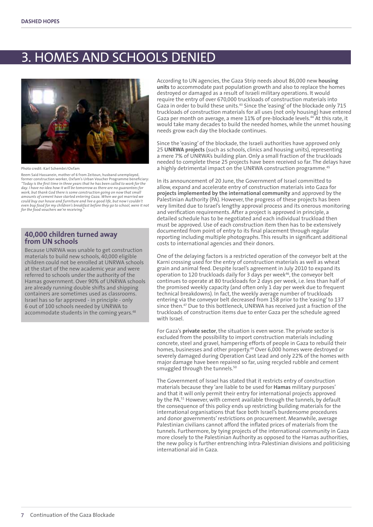## 3. Homes and schools denied



Photo credit: Karl Schembri/Oxfam

Reem Said Hassanein, mother of 6 from Zeitoun, husband unemployed, former construction worker, Oxfam's Urban Voucher Programme beneficiary: *"Today is the first time in three years that he has been called to work for the day. I have no idea how it will be tomorrow as there are no guarantees for work, but thank God there is some construction going on now that small amounts of cement have started entering Gaza. When we got married we could buy our house and furniture and live a good life, but now I couldn't even buy food for my children's breakfast before they go to school, were it not for the food vouchers we're receiving."*

#### **40,000 children turned away from UN schools**

Because UNRWA was unable to get construction materials to build new schools, 40,000 eligible children could not be enrolled at UNRWA schools at the start of the new academic year and were referred to schools under the authority of the Hamas government. Over 90% of UNRWA schools are already running double shifts and shipping containers are sometimes used as classrooms. Israel has so far approved - in principle - only 6 out of 100 schools needed by UNRWA to accommodate students in the coming years.<sup>48</sup>

According to UN agencies, the Gaza Strip needs about 86,000 new **housing units** to accommodate past population growth and also to replace the homes destroyed or damaged as a result of Israeli military operations. It would require the entry of over 670,000 truckloads of construction materials into Gaza in order to build these units.<sup>43</sup> Since the 'easing' of the blockade only 715 truckloads of construction materials for all uses (not only housing) have entered Gaza per month on average, a mere 11% of pre-blockade levels.<sup>44</sup> At this rate, it would take many decades to build the needed homes, while the unmet housing needs grow each day the blockade continues.

Since the 'easing' of the blockade, the Israeli authorities have approved only 25 **UNRWA projects** (such as schools, clinics and housing units), representing a mere 7% of UNRWA's building plan. Only a small fraction of the truckloads needed to complete these 25 projects have been received so far. The delays have a highly detrimental impact on the UNRWA construction programme.<sup>45</sup>

In its announcement of 20 June, the Government of Israel committed to allow, expand and accelerate entry of construction materials into Gaza for **projects implemented by the international community** and approved by the Palestinian Authority (PA). However, the progress of these projects has been very limited due to Israel's lengthy approval process and its onerous monitoring and verification requirements. After a project is approved in principle, a detailed schedule has to be negotiated and each individual truckload then must be approved. Use of each construction item then has to be extensively documented from point of entry to its final placement through regular reporting including multiple photographs. This results in significant additional costs to international agencies and their donors.

One of the delaying factors is a restricted operation of the conveyor belt at the Karni crossing used for the entry of construction materials as well as wheat grain and animal feed. Despite Israel's agreement in July 2010 to expand its operation to 120 truckloads daily for 3 days per week<sup>46</sup>, the conveyor belt continues to operate at 80 truckloads for 2 days per week, i.e. less than half of the promised weekly capacity (and often only 1 day per week due to frequent technical breakdowns). In fact, the weekly average number of truckloads entering via the conveyor belt decreased from 158 prior to the 'easing' to 137 since then.47 Due to this bottleneck, UNRWA has received just a fraction of the truckloads of construction items due to enter Gaza per the schedule agreed with Israel.

For Gaza's **private sector**, the situation is even worse. The private sector is excluded from the possibility to import construction materials including concrete, steel and gravel, hampering efforts of people in Gaza to rebuild their homes, businesses and other property.<sup>49</sup> Over 6,000 homes were destroyed or severely damaged during Operation Cast Lead and only 22% of the homes with major damage have been repaired so far, using recycled rubble and cement smuggled through the tunnels.<sup>50</sup>

The Government of Israel has stated that it restricts entry of construction materials because they 'are liable to be used for **Hamas** military purposes' and that it will only permit their entry for international projects approved by the PA. <sup>51</sup> However, with cement available through the tunnels, by default the consequence of this policy ends up restricting building materials for the international organisations that face both Israel's burdensome procedures and donor governments' restrictions on procurement. Meanwhile, average Palestinian civilians cannot afford the inflated prices of materials from the tunnels. Furthermore, by tying projects of the international community in Gaza more closely to the Palestinian Authority as opposed to the Hamas authorities, the new policy is further entrenching intra-Palestinian divisions and politicising international aid in Gaza.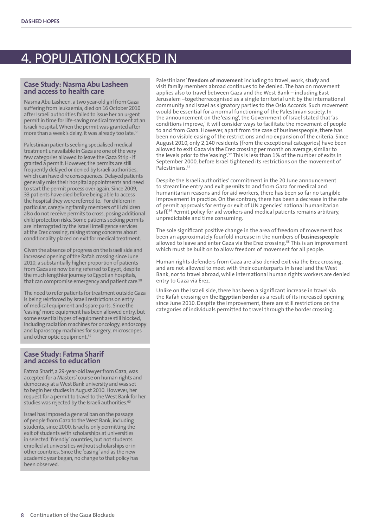# 4. Population locked in

#### **Case Study: Nasma Abu Lasheen and access to health care**

Nasma Abu Lasheen, a two year-old girl from Gaza suffering from leukaemia, died on 16 October 2010 after Israeli authorities failed to issue her an urgent permit in time for life-saving medical treatment at an Israeli hospital. When the permit was granted after more than a week's delay, it was already too late.<sup>51</sup>

Palestinian patients seeking specialised medical treatment unavailable in Gaza are one of the very few categories allowed to leave the Gaza Strip - if granted a permit. However, the permits are still frequently delayed or denied by Israeli authorities, which can have dire consequences. Delayed patients generally miss their hospital appointments and need to start the permit process over again. Since 2009, 33 patients have died before being able to access the hospital they were referred to. For children in particular, caregiving family members of ill children also do not receive permits to cross, posing additional child protection risks. Some patients seeking permits are interrogated by the Israeli intelligence services at the Erez crossing, raising strong concerns about conditionality placed on exit for medical treatment.

Given the absence of progress on the Israeli side and increased opening of the Rafah crossing since June 2010, a substantially higher proportion of patients from Gaza are now being referred to Egypt, despite the much lengthier journey to Egyptian hospitals, that can compromise emergency and patient care.<sup>58</sup>

The need to refer patients for treatment outside Gaza is being reinforced by Israeli restrictions on entry of medical equipment and spare parts. Since the 'easing' more equipment has been allowed entry, but some essential types of equipment are still blocked, including radiation machines for oncology, endoscopy and laparoscopy machines for surgery, microscopes and other optic equipment.<sup>59</sup>

#### **Case Study: Fatma Sharif and access to education**

Fatma Sharif, a 29-year-old lawyer from Gaza, was accepted for a Masters' course on human rights and democracy at a West Bank university and was set to begin her studies in August 2010. However, her request for a permit to travel to the West Bank for her studies was rejected by the Israeli authorities.<sup>60</sup>

Israel has imposed a general ban on the passage of people from Gaza to the West Bank, including students, since 2000. Israel is only permitting the exit of students with scholarships at universities in selected 'friendly' countries, but not students enrolled at universities without scholarships or in other countries. Since the 'easing' and as the new academic year began, no change to that policy has been observed.

Palestinians' **freedom of movement** including to travel, work, study and visit family members abroad continues to be denied. The ban on movement applies also to travel between Gaza and the West Bank – including East Jerusalem –togetherrecognised as a single territorial unit by the international community and Israel as signatory parties to the Oslo Accords. Such movement would be essential for a normal functioning of the Palestinian society. In the announcement on the 'easing', the Government of Israel stated that 'as conditions improve,' it will consider ways to facilitate the movement of people to and from Gaza. However, apart from the case of businesspeople, there has been no visible easing of the restrictions and no expansion of the criteria. Since August 2010, only 2,140 residents (from the exceptional categories) have been allowed to exit Gaza via the Erez crossing per month on average, similar to the levels prior to the 'easing'.52 This is less than 1% of the number of exits in September 2000, before Israel tightened its restrictions on the movement of Palestinians.<sup>53</sup>

Despite the Israeli authorities' commitment in the 20 June announcement to streamline entry and exit **permits** to and from Gaza for medical and humanitarian reasons and for aid workers, there has been so far no tangible improvement in practice. On the contrary, there has been a decrease in the rate of permit approvals for entry or exit of UN agencies' national humanitarian staff.<sup>54</sup> Permit policy for aid workers and medical patients remains arbitrary, unpredictable and time consuming.

The sole significant positive change in the area of freedom of movement has been an approximately fourfold increase in the numbers of **businesspeople** allowed to leave and enter Gaza via the Erez crossing.<sup>55</sup> This is an improvement which must be built on to allow freedom of movement for all people.

Human rights defenders from Gaza are also denied exit via the Erez crossing, and are not allowed to meet with their counterparts in Israel and the West Bank, nor to travel abroad, while international human rights workers are denied entry to Gaza via Erez.

Unlike on the Israeli side, there has been a significant increase in travel via the Rafah crossing on the **Egyptian border** as a result of its increased opening since June 2010. Despite the improvement, there are still restrictions on the categories of individuals permitted to travel through the border crossing.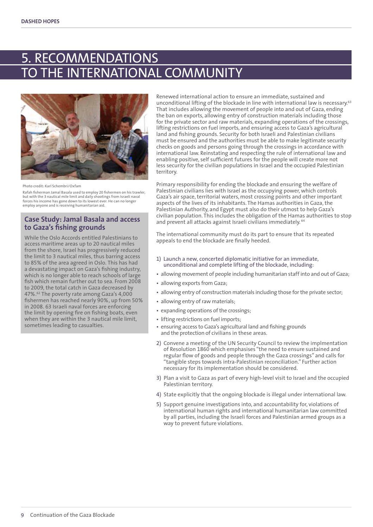# RECOMMENDATIONS ERNATIONAL COMMUNITY



Photo credit: Karl Schembri/Oxfam

Rafah fisherman Jamal Basala used to employ 20 fishermen on his trawler, but with the 3 nautical mile limit and daily shootings from Israeli naval forces his income has gone down to its lowest ever. He can no longer employ anyone and is receiving humanitarian aid.

#### **Case Study: Jamal Basala and access to Gaza's fishing grounds**

While the Oslo Accords entitled Palestinians to access maritime areas up to 20 nautical miles from the shore, Israel has progressively reduced the limit to 3 nautical miles, thus barring access to 85% of the area agreed in Oslo. This has had a devastating impact on Gaza's fishing industry, which is no longer able to reach schools of large fish which remain further out to sea. From 2008 to 2009, the total catch in Gaza decreased by 47%.62 The poverty rate among Gaza's 4,000 fishermen has reached nearly 90%, up from 50% in 2008. 63 Israeli naval forces are enforcing the limit by opening fire on fishing boats, even when they are within the 3 nautical mile limit, sometimes leading to casualties.

Renewed international action to ensure an immediate, sustained and unconditional lifting of the blockade in line with international law is necessary.<sup>63</sup> That includes allowing the movement of people into and out of Gaza, ending the ban on exports, allowing entry of construction materials including those for the private sector and raw materials, expanding operations of the crossings, lifting restrictions on fuel imports, and ensuring access to Gaza's agricultural land and fishing grounds. Security for both Israeli and Palestinian civilians must be ensured and the authorities must be able to make legitimate security checks on goods and persons going through the crossings in accordance with international law. Reinstating and respecting the rule of international law and enabling positive, self sufficient futures for the people will create more not less security for the civilian populations in Israel and the occupied Palestinian territory.

Primary responsibility for ending the blockade and ensuring the welfare of Palestinian civilians lies with Israel as the occupying power, which controls Gaza's air space, territorial waters, most crossing points and other important aspects of the lives of its inhabitants. The Hamas authorities in Gaza, the Palestinian Authority, and Egypt must also do their utmost to help Gaza's civilian population. This includes the obligation of the Hamas authorities to stop and prevent all attacks against Israeli civilians immediately.<sup>64</sup>

The international community must do its part to ensure that its repeated appeals to end the blockade are finally heeded.

- 1) Launch a new, concerted diplomatic initiative for an immediate, unconditional and complete lifting of the blockade, including:
- allowing movement of people including humanitarian staff into and out of Gaza;
- allowing exports from Gaza;
- allowing entry of construction materials including those for the private sector;
- allowing entry of raw materials;
- expanding operations of the crossings;
- lifting restrictions on fuel imports;
- ensuring access to Gaza's agricultural land and fishing grounds and the protection of civilians in these areas.
- 2) Convene a meeting of the UN Security Council to review the implmentation of Resolution 1860 which emphasises "the need to ensure sustained and regular flow of goods and people through the Gaza crossings" and calls for "tangible steps towards intra-Palestinian reconciliation." Further action necessary for its implementation should be considered.
- 3) Plan a visit to Gaza as part of every high-level visit to Israel and the occupied Palestinian territory.
- 4) State explicitly that the ongoing blockade is illegal under international law.
- 5) Support genuine investigations into, and accountability for, violations of international human rights and international humanitarian law committed by all parties, including the Israeli forces and Palestinian armed groups as a way to prevent future violations.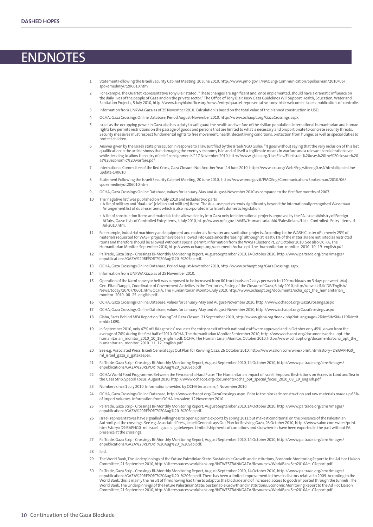## **ENDNOTES**

- 1 Statement Following the Israeli Security Cabinet Meeting, 20 June 2010, http://www.pmo.gov.il/PMOEng/Communication/Spokesman/2010/06/ spokemediniyut206010.htm
- 2 For example, the Quartet Representative Tony Blair stated: "These changes are significant and, once implemented, should have a dramatic influence on the daily lives of the people of Gaza and on the private sector." The Office of Tony Blair, New Gaza Guidelines Will Support Health, Education, Water and Sanitation Projects, 5 July 2010, http://www.tonyblairoffice.org/news/entry/quartet-representative-tony-blair-welcomes-israels-publication-of-controlle.
- 3 Information from UNRWA Gaza as of 25 November 2010. Calculation is based on the total value of the planned construction in USD.
- 4 OCHA, Gaza Crossings Online Database, Period August-November 2010, [http://www.ochaopt.org/GazaCrossings.aspx.](http://www.ochaopt.org/GazaCrossings.aspx)
- 5 Israel as the occupying power in Gaza also has a duty to safeguard the health and welfare of the civilian population. International humanitarian and human rights law permits restrictions on the passage of goods and persons that are limited to what is necessary and proportionate to concrete security threats. Security measures must respect fundamental rights to free movement, health, decent living conditions, protection from hunger, as well as special duties to protect children.
- Answer given by the Israeli state prosecutor in response to a lawsuit filed by the Israeli NGO Gisha: "It goes without saying that the very inclusion of this last<br>qualification in the article shows that damaging the enemy' as%20economic%20warfare.pdf
- 7 International Committee of the Red Cross, Gaza Closure: Not Another Year!,14 June 2010, [http://www.icrc.org/Web/Eng/siteeng0.nsf/htmlall/palestine](http://www.icrc.org/Web/Eng/siteeng0.nsf/htmlall/palestine-update-140610)[update-140610.](http://www.icrc.org/Web/Eng/siteeng0.nsf/htmlall/palestine-update-140610)
- 8 Statement Following the Israeli Security Cabinet Meeting, 20 June 2010, http://www.pmo.gov.il/PMOEng/Communication/Spokesman/2010/06/ spokemediniyut206010.htm
- 9 OCHA, Gaza Crossings Online Database, values for January-May and August-November 2010 as compared to the first five months of 2007.
- 10 The 'negative list' was published on 4 July 2010 and includes two parts
	- A list of military and 'dual-use' (civilian and military) items. The dual-use part extends significantly beyond the internationally recognised Wassenaar Arrangement list of dual-use items which is also incorporated into Israel's domestic legislation
	- A list of construction items and materials to be allowed entry into Gaza only for international projects approved by the PA. Israel Ministry of Foreign Affairs, Gaza: Lists of Controlled Entry Items, 4 July 2010, [http://www.mfa.gov.il/MFA/HumanitarianAid/Palestinians/Lists\\_Controlled\\_Entry\\_Items\\_4-](http://www.mfa.gov.il/MFA/HumanitarianAid/Palestinians/Lists_Controlled_Entry_Items_4-Jul-2010.htm) [Jul-2010.htm](http://www.mfa.gov.il/MFA/HumanitarianAid/Palestinians/Lists_Controlled_Entry_Items_4-Jul-2010.htm).
- 11 For example, industrial machinery and equipment and materials for water and sanitation projects. According to the WASH Cluster oPt, merely 25% of<br>materials requested for WASH projects have been allowed into Gaza since t items and therefore should be allowed without a special permit. Information from the WASH Cluster oPt, 27 October 2010. See also OCHA, The Humanitarian Monitor, September 2010, [http://www.ochaopt.org/documents/ocha\\_opt\\_the\\_humanitarian\\_monitor\\_2010\\_10\\_19\\_english.pdf.](http://www.ochaopt.org/documents/ocha_opt_the_humanitarian_monitor_2010_10_19_english.pdf)
- 12 PalTrade, Gaza Strip Crossings Bi-Monthly Monitoring Report, August-September 2010, 14 October 2010, http://www.paltrade.org/cms/images/ enpublications/GAZA%20REPORT%20Aug%20\_%20Sep.pdf.
- 13 OCHA, Gaza Crossings Online Database, Period August-November 2010, [http://www.ochaopt.org/GazaCrossings.aspx.](http://www.ochaopt.org/GazaCrossings.aspx)
- 14 Information from UNRWA Gaza as of 25 November 2010.
- 15 Operation of the Karni conveyor belt was supposed to be increased from 80 truckloads on 2 days per week to 120 truckloads on 3 days per week. Maj. Gen. Eitan Dangot, Coordinator of Government Activities in the Territories, Easing of the Closure of Gaza, 6 July 2010, http://dover.idf.il/IDF/English/ News/today/10/07/0601.htm; OCHA, The Humanitarian Monitor, July 2010, http://www.ochaopt.org/documents/ocha\_opt\_the\_humanitarian [monitor\\_2010\\_08\\_25\\_english.pdf.](http://www.ochaopt.org/documents/ocha_opt_the_humanitarian_monitor_2010_08_25_english.pdf).
- 16 OCHA, Gaza Crossings Online Database, values for January-May and August-November 2010, <http://www.ochaopt.org/GazaCrossings.aspx>
- 17 OCHA, Gaza Crossings Online Database, values for January-May and August-November 2010, http://www.ochaopt.org/GazaCrossings.aspx
- 18 Gisha, Facts Behind MFA Report on "Easing" of Gaza Closure, 21 September 2010, http://www.gisha.org/index.php?intLanguage=2&intSiteSN=119&intIt emId=1890.
- 19 In September 2010, only 47% of UN agencies' requests for entry or exit of their national staff were approved and in October only 45%, down from the average of 76% during the first half of 2010. OCHA, The Humanitarian Monitor,September 2010, [http://www.ochaopt.org/documents/ocha\\_opt\\_the\\_](http://www.ochaopt.org/documents/ocha_opt_the_humanitarian_monitor_2010_10_19_english.pdf)the\_the\_communitarian Monitor,September 2010, http://www.ochaopt.org/documents/ocha [humanitarian\\_monitor\\_2010\\_10\\_19\\_english.pdf.](http://www.ochaopt.org/documents/ocha_opt_the_humanitarian_monitor_2010_10_19_english.pdf) OCHA, The Humanitarian Monitor, October 2010, http://www.ochaopt.org/documents/ocha\_opt\_the\_ humanitarian\_monitor\_2010\_11\_12\_english.pdf
- 20 See e.g. Associated Press, Israeli General Lays Out Plan for Reviving Gaza, 26 October 2010, [http://www.salon.com/wires/print.html?story=D9J3APHG0\\_](http://www.salon.com/wires/print.html?story=D9J3APHG0_ml_israel_gaza_s_gatekeeper) ml israel gaza s gatekeeper.
- 21 PalTrade, Gaza Strip Crossings Bi-Monthly Monitoring Report, August-September 2010, 14 October 2010, http://www.paltrade.org/cms/images/ enpublications/GAZA%20REPORT%20Aug%20\_%20Sep.pdf
- 22 OCHA/World Food Programme, Between the Fence and a Hard Place: The Humanitarian Impact of Israeli-Imposed Restrictions on Access to Land and Sea in the Gaza Strip, Special Focus, August 2010, [http://www.ochaopt.org/documents/ocha\\_opt\\_special\\_focus\\_2010\\_08\\_19\\_english.pdf.](http://www.ochaopt.org/documents/ocha_opt_special_focus_2010_08_19_english.pdf)
- 23 Numbers since 1 July 2010. Information provided by OCHA Jerusalem, 4 November 2010.
- 24 OCHA, Gaza Crossings Online Database, http://www.ochaopt.org/GazaCrossings.aspx. Prior to the blockade construction and raw materials made up 65% of import volumes. Information from OCHA Jerusalem 12 November 2010.
- 25 PalTrade, Gaza Strip Crossings Bi-Monthly Monitoring Report, August-September 2010, 14 October 2010, http://www.paltrade.org/cms/images/ enpublications/GAZA%20REPORT%20Aug%20\_%20Sep.pdf.
- 26 Israeli representatives have signalled willingness to open up some exports by spring 2011 but make it conditional on the presence of the Palestinian Authority at the crossings. See e.g. Associated Press, Israeli General Lays Out Plan for Reviving Gaza, 26 October 2010, http://www.salon.com/wires/print.<br>html?story=D9J3APHG0\_ml\_israel\_gaza\_s\_gatekeeper. Limited shipments presence at the crossings.
- 27 PalTrade, Gaza Strip Crossings Bi-Monthly Monitoring Report, August-September 2010, 14 October 2010, [http://www.paltrade.org/cms/images/](http://www.paltrade.org/cms/images/enpublications/GAZA REPORT Aug _ Sep.pdf) [enpublications/GAZA%20REPORT%20Aug%20\\_%20Sep.pdf](http://www.paltrade.org/cms/images/enpublications/GAZA REPORT Aug _ Sep.pdf).
- 28
- 29 The World Bank, The Underpinnings of the Future Palestinian State: Sustainable Growth and Institutions, Economic Monitoring Report to the Ad Hoc Liaison Committee, 21 September 2010, http://siteresources.worldbank.org/INTWESTBANKGAZA/Resources/WorldBankSep2010AHLCReport.pdf.
- 30 PalTrade, Gaza Strip Crossings Bi-Monthly Monitoring Report, August-September 2010, 14 October 2010, http://www.paltrade.org/cms/images/ enpublications/GAZA%20REPORT%20Aug%20\_%20Sep.pdf. There has been a limited improvement in these indicators relative to 2009. According to the World Bank, this is mainly the result of firms having had time to adapt to the blockade and of increased access to goods imported through the tunnels. The World Bank, The Underpinnings of the Future Palestinian State: Sustainable Growth and Institutions, Economic Monitoring Report to the Ad Hoc Liaison Committee, 21 September 2010, http://siteresources.worldbank.org/INTWESTBANKGAZA/Resources/WorldBankSep2010AHLCReport.pdf.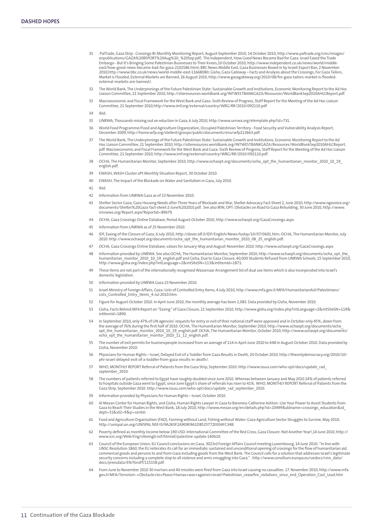- PalTrade, Gaza Strip Crossings Bi-Monthly Monitoring Report, August-September 2010, 14 October 2010, http://www.paltrade.org/cms/images/<br>enpublications/GAZA%20REPORT%20Aug%20\_%20Sep.pdf; The Independent, How Good News B Embargo - But It's Bringing Some Palestinian Businesses to Their Knees,10 October 2010, [http://www.independent.co.uk/news/world/middle](http://www.independent.co.uk/news/world/middle-east/how-good-news-became-bad-for-gaza-2102586.html)[east/how-good-news-became-bad-for-gaza-2102586.html](http://www.independent.co.uk/news/world/middle-east/how-good-news-became-bad-for-gaza-2102586.html); BBC News Middle East, Gaza Businesses Boxed in by Israeli Export Ban, 2 November<br>2010,<http://www.bbc.co.uk/news/world-middle-east-11668080>; Gisha, Gaza Gateway – Facts a Market is Flooded, External Markets are Banned, 26 August 2010, [http://www.gazagateway.org/2010/08/for-gaza-tailors-market-is-flooded](http://www.gazagateway.org/2010/08/for-gaza-tailors-market-is-flooded-external-markets-are-banned/)[external-markets-are-banned/.](http://www.gazagateway.org/2010/08/for-gaza-tailors-market-is-flooded-external-markets-are-banned/)
- 32 The World Bank, The Underpinnings of the Future Palestinian State: Sustainable Growth and Institutions, Economic Monitoring Report to the Ad Hoc Liaison Committee, 21 September 2010, http://siteresources.worldbank.org/INTWESTBANKGAZA/Resources/WorldBankSep2010AHLCReport.pdf.
- 33 Macroeconomic and Fiscal Framework for the West Bank and Gaza: Sixth Review of Progress, Staff Report for the Meeting of the Ad Hoc Liaison Committee, 21 September 2010,http://www.imf.org/external/country/WBG/RR/2010/092110.pdf
- 34 Ibid.
- 35 UNRWA, Thousands missing out on eduction in Gaza, 6 July 2010, http://www.unrwa.org/etemplate.php?id=731.
- 36 World Food Programme/Food and Agriculture Organization, Occupied Palestinian Territory Food Security and Vulnerability Analysis Report, December 2009, http://home.wfp.org/stellent/groups/public/documents/ena/wfp213663.pdf.
- 37 The World Bank, The Underpinnings of the Future Palestinian State: Sustainable Growth and Institutions, Economic Monitoring Report to the Ad Hoc Liaison Committee, 21 September 2010, [http://siteresources.worldbank.org/INTWESTBANKGAZA/Resources/WorldBankSep2010AHLCReport.](http://siteresources.worldbank.org/INTWESTBANKGAZA/Resources/WorldBankSep2010AHLCReport.pdf) [pdf](http://siteresources.worldbank.org/INTWESTBANKGAZA/Resources/WorldBankSep2010AHLCReport.pdf). Macroeconomic and Fiscal Framework for the West Bank and Gaza: Sixth Review of Progress, Staff Report for the Meeting of the Ad Hoc Liaison Committee, 21 September 2010, http://www.imf.org/external/country/WBG/RR/2010/092110.pdf.
- 38 OCHA, The Humanitarian Monitor, September 2010, [http://www.ochaopt.org/documents/ocha\\_opt\\_the\\_humanitarian\\_monitor\\_2010\\_10\\_19\\_](http://www.ochaopt.org/documents/ocha_opt_the_humanitarian_monitor_2010_10_19_english.pdf) [english.pdf.](http://www.ochaopt.org/documents/ocha_opt_the_humanitarian_monitor_2010_10_19_english.pdf)
- 39 EWASH, WASH Cluster oPt Monthly Situation Report, 30 October 2010.
- 40 EWASH, The Impact of the Blockade on Water and Sanitation in Gaza, July 2010.
- $41$
- 42 Information from UNRWA Gaza as of 23 November 2010.
- 43 Shelter Sector Gaza, Gaza Housing Needs after Three Years of Blockade and War, Shelter Advocacy Fact-Sheet 2, June 2010, [http://www.ngovoice.org/](http://www.ngovoice.org/documents/Shelter Gaza-fact-sheet-2-June 2010.pdf) [documents/Shelter%20Gaza-fact-sheet-2-June%202010.pdf.](http://www.ngovoice.org/documents/Shelter Gaza-fact-sheet-2-June 2010.pdf) See also IRIN, OPT: Obstacles on Road to Gaza Rebuilding, 30 June 2010, http://www. irinnews.org/Report.aspx?ReportId=89679.
- 44 OCHA, Gaza Crossings Online Database, Period August-October 2010, http://www.ochaopt.org/GazaCrossings.aspx.
- 45 Information from UNRWA as of 25 November 2010.
- 46 IDF, Easing of the Closure of Gaza, 6 July 2010, http://dover.idf.il/IDF/English/News/today/10/07/0601.htm; OCHA, The Humanitarian Monitor, July 2010. http://www.ochaopt.org/documents/ocha\_opt\_the\_humanitarian\_monitor\_2010\_08\_25\_english.pdf
- 47 OCHA, Gaza Crossings Online Database, values for January-May and August-November 2010. http://www.ochaopt.org/GazaCrossings.aspx
- \_48 hrformation provided by UNRWA. See also OCHA, The Humanitarian Monitor, September 2010, http://www.ochaopt.org/documents/ocha\_opt\_the<br>humanitarian\_monitor\_2010\_10\_19\_english.pdf and Gisha, Due to Gaza Closure, 40,000 S http://www.gisha.org/index.php?intLanguage=2&intSiteSN=113&intItemId=1871.
- 49 These items are not part of the internationally recognised Wassenaar Arrangement list of dual use items which is also incorporated into Israel's domestic legislation.
- 50 Information provided by UNRWA Gaza 23 November 2010.
- 51 Israel Ministry of Foreign Affairs, Gaza: Lists of Controlled Entry Items, 4 July 2010, http://www.mfa.gov.il/MFA/HumanitarianAid/Palestinians/ Lists\_Controlled\_Entry\_Items\_4-Jul-2010.htm.
- 52 Figure for August-October 2010. In April-June 2010, the monthly average has been 2,083. Data provided by Gisha, November 2010.
- 53 Gisha, Facts Behind MFA Report on "Easing" of Gaza Closure, 21 September 2010, http://www.gisha.org/index.php?intLanguage=2&intSiteSN=119& intItemId=1890.
- 54 In September 2010, only 47% of UN agencies' requests for entry or exit of their national staff were approved and in October only 45%, down from the average of 76% during the first half of 2010. OCHA, The Humanitarian Monitor, September 2010, [http://www.ochaopt.org/documents/ocha\\_](http://www.ochaopt.org/documents/ocha_opt_the_humanitarian_monitor_2010_10_19_english.pdf) [opt\\_the\\_humanitarian\\_monitor\\_2010\\_10\\_19\\_english.pdf.](http://www.ochaopt.org/documents/ocha_opt_the_humanitarian_monitor_2010_10_19_english.pdf) OCHA, The Humanitarian Monitor, October 2010, http://www.ochaopt.org/documents/<br>ocha\_opt\_the\_humanitarian\_monitor\_2010\_11\_12\_english.pdf.
- 55 The number of exit permits for businesspeople increased from an average of 114 in April-June 2010 to 448 in August-October 2010. Data provided by Gisha, November 2010.
- 56 Physicians for Human Rights Israel, Delayed Exit of a Toddler from Gaza Results in Death, 20 October 2010, http://theonlydemocracy.org/2010/10/ phr-israel-delayed-exit-of-a-toddler-from-gaza-results-in-death/.
- 57 WHO, MONTHLY REPORT Referral of Patients from the Gaza Strip, September 2010. http://www.issuu.com/who-opt/docs/update\_rad\_ september\_2010.
- 58 The numbers of patients referred to Egypt have roughly doubled since June 2010. Whereas between January and May 2010 24% of patients referred to hospitals outside Gaza went to Egypt, since June Egypt's share of referrals has risen to 41%. WHO, MONTHLY REPORT Referral of Patients from the<br>Gaza Strip, September 2010. http://www.issuu.com/who-opt/docs/update\_rad\_se
- 59 Information provided by Physicians for Human Rights Israel, October 2010.
- 60 Al Mezan Center for Human Rights, and Gisha, Human Rights Lawyer in Gaza to Baroness Catherine Ashton: Use Your Power to Assist Students from Gaza to Reach Their Studies in the West Bank, 18 July 2010, http://www.mezan.org/en/details.php?id=10499&ddname=crossings\_education&id dept=31&id2=9&p=center.
- 61 Food and Agriculture Organization (FAO), Farming without Land, Fishing without Water: Gaza Agriculture Sector Struggles to Survive, May 2010, [http://unispal.un.org/UNISPAL.NSF/0/9A265F2A909E9A1D8525772E004FC34B.](http://unispal.un.org/UNISPAL.NSF/0/9A265F2A909E9A1D8525772E004FC34B)
- 62 Poverty defined as monthly income below 190 USD. International Committee of the Red Cross, Gaza Closure: Not Another Year!,14 June 2010, http:// www.icrc.org/Web/Eng/siteeng0.nsf/htmlall/palestine-update-140610.
- 63 Council of the European Union, EU Council conclusions on Gaza, 3023rd Foreign Affairs Council meeting Luxembourg, 14 June 2010: "In line with UNSC Resolution 1860, the EU reiterates its call for an immediate, sustained and unconditional opening of crossings for the flow of humanitarian aid,<br>commercial goods and persons to and from Gaza including goods from the W security concerns including a complete stop to all violence and arms smuggling into Gaza." . http://www.consilium.europa.eu/uedocs/cms\_data/ docs/pressdata/EN/foraff/115158.pdf.
- 64 From June to November 2010 30 mortars and 40 missiles were fired from Gaza into Israel causing no casualties. 17. November 2010, [http://www.mfa.](http://www.mfa.gov.il/MFA/Terrorism-+Obstacle+to+Peace/Hamas+war+against+Israel/Palestinian_ceasefire_violations_since_end_Operation_Cast_Lead.htm) [gov.il/MFA/Terrorism-+Obstacle+to+Peace/Hamas+war+against+Israel/Palestinian\\_ceasefire\\_violations\\_since\\_end\\_Operation\\_Cast\\_Lead.htm](http://www.mfa.gov.il/MFA/Terrorism-+Obstacle+to+Peace/Hamas+war+against+Israel/Palestinian_ceasefire_violations_since_end_Operation_Cast_Lead.htm)